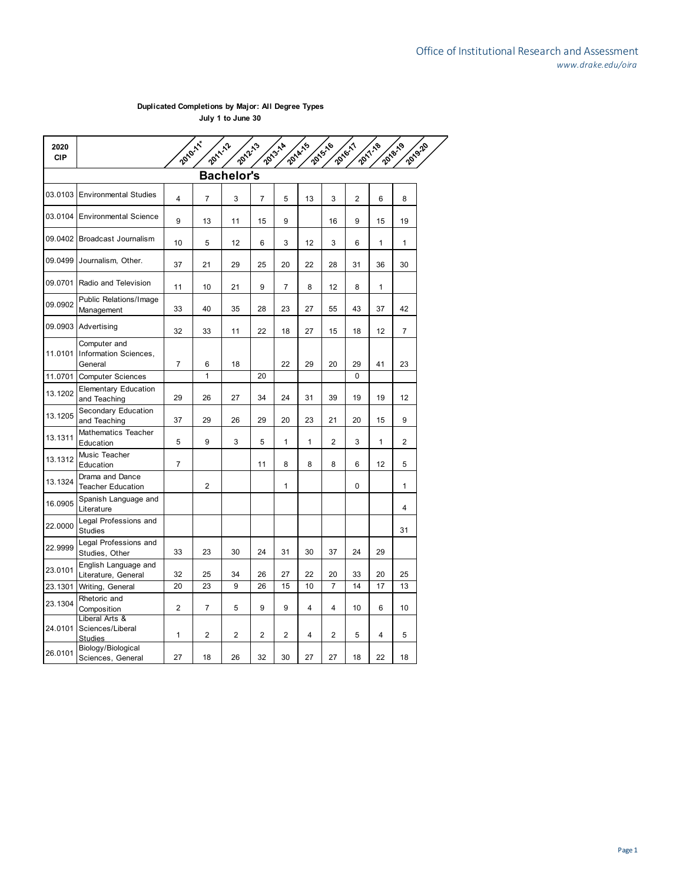## **Duplicated Completions by Major: All Degree Types July 1 to June 30**

| 2020<br><b>CIP</b> |                                                      | 2010-11        | 2011-12        | 2012-13           |                | 2013-14        | 2014-15 | 2015-16        | 2016-17        | 2017.18                 | 2018-19<br>2019-20 |
|--------------------|------------------------------------------------------|----------------|----------------|-------------------|----------------|----------------|---------|----------------|----------------|-------------------------|--------------------|
|                    |                                                      |                |                | <b>Bachelor's</b> |                |                |         |                |                |                         |                    |
| 03.0103            | <b>Environmental Studies</b>                         | 4              | $\overline{7}$ | 3                 | $\overline{7}$ | 5              | 13      | 3              | $\overline{2}$ | 6                       | 8                  |
| 03.0104            | <b>Environmental Science</b>                         | 9              | 13             | 11                | 15             | 9              |         | 16             | 9              | 15                      | 19                 |
|                    | 09.0402 Broadcast Journalism                         | 10             | 5              | 12                | 6              | 3              | 12      | 3              | 6              | 1                       | 1                  |
| 09.0499            | Journalism, Other.                                   | 37             | 21             | 29                | 25             | 20             | 22      | 28             | 31             | 36                      | 30                 |
| 09.0701            | Radio and Television                                 | 11             | 10             | 21                | 9              | $\overline{7}$ | 8       | 12             | 8              | 1                       |                    |
| 09.0902            | Public Relations/Image<br>Management                 | 33             | 40             | 35                | 28             | 23             | 27      | 55             | 43             | 37                      | 42                 |
| 09.0903            | Advertising                                          | 32             | 33             | 11                | 22             | 18             | 27      | 15             | 18             | 12                      | $\overline{7}$     |
| 11.0101            | Computer and<br>Information Sciences,<br>General     | 7              | 6              | 18                |                | 22             | 29      | 20             | 29             | 41                      | 23                 |
| 11.0701            | <b>Computer Sciences</b>                             |                | 1              |                   | 20             |                |         |                | 0              |                         |                    |
| 13.1202            | <b>Elementary Education</b><br>and Teaching          | 29             | 26             | 27                | 34             | 24             | 31      | 39             | 19             | 19                      | 12                 |
| 13.1205            | Secondary Education<br>and Teaching                  | 37             | 29             | 26                | 29             | 20             | 23      | 21             | 20             | 15                      | 9                  |
| 13.1311            | Mathematics Teacher<br>Education                     | 5              | 9              | 3                 | 5              | 1              | 1       | 2              | 3              | 1                       | 2                  |
| 13.1312            | Music Teacher<br>Education                           | $\overline{7}$ |                |                   | 11             | 8              | 8       | 8              | 6              | 12                      | 5                  |
| 13.1324            | Drama and Dance<br><b>Teacher Education</b>          |                | $\overline{2}$ |                   |                | 1              |         |                | 0              |                         | 1                  |
| 16.0905            | Spanish Language and<br>Literature                   |                |                |                   |                |                |         |                |                |                         | 4                  |
| 22.0000            | Legal Professions and<br><b>Studies</b>              |                |                |                   |                |                |         |                |                |                         | 31                 |
| 22.9999            | Legal Professions and<br>Studies, Other              | 33             | 23             | 30                | 24             | 31             | 30      | 37             | 24             | 29                      |                    |
| 23.0101            | English Language and<br>Literature, General          | 32             | 25             | 34                | 26             | 27             | 22      | 20             | 33             | 20                      | 25                 |
| 23.1301            | Writing, General                                     | 20             | 23             | 9                 | 26             | 15             | 10      | $\overline{7}$ | 14             | 17                      | 13                 |
| 23.1304            | Rhetoric and<br>Composition                          | $\overline{2}$ | $\overline{7}$ | 5                 | 9              | 9              | 4       | 4              | 10             | 6                       | 10                 |
| 24.0101            | Liberal Arts &<br>Sciences/Liberal<br><b>Studies</b> | 1              | 2              | 2                 | 2              | $\overline{2}$ | 4       | 2              | 5              | $\overline{\mathbf{4}}$ | 5                  |
| 26.0101            | Biology/Biological<br>Sciences, General              | 27             | 18             | 26                | 32             | 30             | 27      | 27             | 18             | 22                      | 18                 |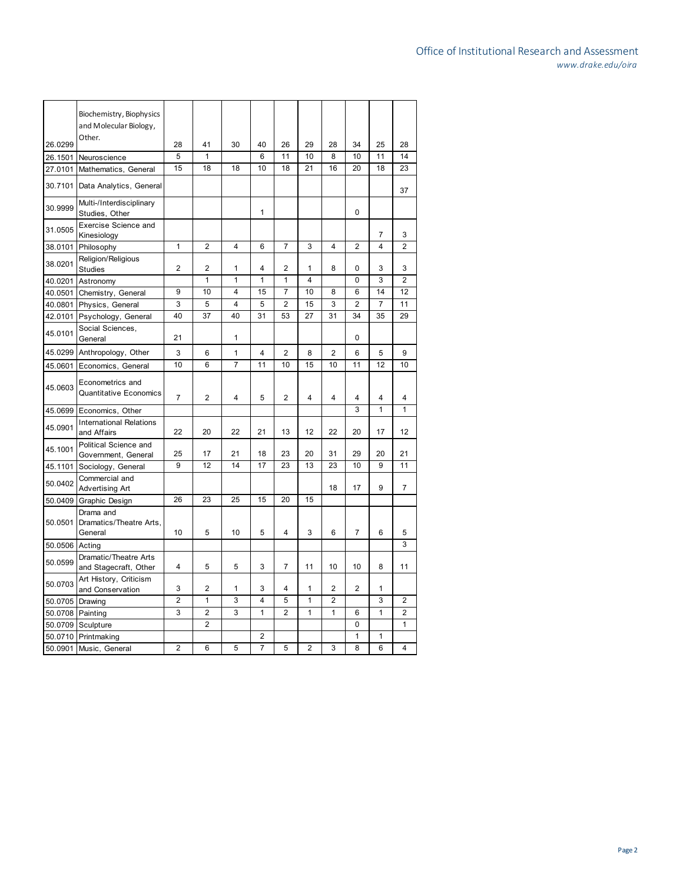|         | Biochemistry, Biophysics<br>and Molecular Biology,<br>Other. |    |                         |                         |                |                |                         |    |                |                |                |
|---------|--------------------------------------------------------------|----|-------------------------|-------------------------|----------------|----------------|-------------------------|----|----------------|----------------|----------------|
| 26.0299 |                                                              | 28 | 41                      | 30                      | 40             | 26             | 29                      | 28 | 34             | 25             | 28             |
| 26.1501 | Neuroscience                                                 | 5  | 1                       |                         | 6              | 11             | 10                      | 8  | 10             | 11             | 14             |
| 27.0101 | Mathematics, General                                         | 15 | 18                      | 18                      | 10             | 18             | 21                      | 16 | 20             | 18             | 23             |
| 30.7101 | Data Analytics, General                                      |    |                         |                         |                |                |                         |    |                |                | 37             |
| 30.9999 | Multi-/Interdisciplinary<br>Studies, Other                   |    |                         |                         | 1              |                |                         |    | 0              |                |                |
| 31.0505 | <b>Exercise Science and</b><br>Kinesiology                   |    |                         |                         |                |                |                         |    |                | 7              | 3              |
| 38.0101 | Philosophy                                                   | 1  | $\overline{2}$          | 4                       | 6              | 7              | 3                       | 4  | $\overline{2}$ | 4              | $\overline{2}$ |
| 38.0201 | Religion/Religious<br><b>Studies</b>                         | 2  | $\overline{2}$          | 1                       | 4              | 2              | 1                       | 8  | 0              | 3              | 3              |
| 40.0201 | Astronomy                                                    |    | $\mathbf{1}$            | 1                       | 1              | 1              | $\overline{4}$          |    | 0              | 3              | $\overline{2}$ |
| 40.0501 | Chemistry, General                                           | 9  | 10                      | 4                       | 15             | $\overline{7}$ | 10                      | 8  | 6              | 14             | 12             |
| 40.0801 | Physics, General                                             | 3  | 5                       | $\overline{\mathbf{4}}$ | 5              | $\overline{2}$ | 15                      | 3  | $\overline{2}$ | $\overline{7}$ | 11             |
| 42.0101 | Psychology, General                                          | 40 | 37                      | 40                      | 31             | 53             | 27                      | 31 | 34             | 35             | 29             |
| 45.0101 | Social Sciences,<br>General                                  | 21 |                         | 1                       |                |                |                         |    | 0              |                |                |
| 45.0299 | Anthropology, Other                                          | 3  | 6                       | 1                       | 4              | $\overline{2}$ | 8                       | 2  | 6              | 5              | 9              |
| 45.0601 | Economics, General                                           | 10 | 6                       | $\overline{7}$          | 11             | 10             | 15                      | 10 | 11             | 12             | 10             |
|         |                                                              |    |                         |                         |                |                |                         |    |                |                |                |
| 45.0603 | Econometrics and<br><b>Quantitative Economics</b>            | 7  | $\overline{\mathbf{c}}$ | 4                       | 5              | 2              | $\overline{\mathbf{4}}$ | 4  | 4              | 4              | 4              |
| 45.0699 | Economics, Other                                             |    |                         |                         |                |                |                         |    | 3              | 1              | 1              |
| 45.0901 | <b>International Relations</b><br>and Affairs                | 22 | 20                      | 22                      | 21             | 13             | 12                      | 22 | 20             | 17             | 12             |
| 45.1001 | Political Science and<br>Government, General                 | 25 | 17                      | 21                      | 18             | 23             | 20                      | 31 | 29             | 20             | 21             |
| 45.1101 | Sociology, General                                           | 9  | 12                      | 14                      | 17             | 23             | 13                      | 23 | 10             | 9              | 11             |
| 50.0402 | Commercial and<br><b>Advertising Art</b>                     |    |                         |                         |                |                |                         | 18 | 17             | 9              | $\overline{7}$ |
| 50.0409 | Graphic Design                                               | 26 | 23                      | 25                      | 15             | 20             | 15                      |    |                |                |                |
| 50.0501 | Drama and<br>Dramatics/Theatre Arts,<br>General              | 10 | 5                       | 10                      | 5              | 4              | 3                       | 6  | 7              | 6              | 5              |
| 50.0506 | Acting                                                       |    |                         |                         |                |                |                         |    |                |                | 3              |
| 50.0599 | Dramatic/Theatre Arts<br>and Stagecraft, Other               | 4  | 5                       | 5                       | 3              | $\overline{7}$ | 11                      | 10 | 10             | 8              | 11             |
| 50.0703 | Art History, Criticism<br>and Conservation                   | 3  | $\overline{2}$          | 1                       | 3              | 4              | 1                       | 2  | $\overline{2}$ | 1              |                |
| 50.0705 | Drawing                                                      | 2  | 1                       | 3                       | 4              | 5              | 1                       | 2  |                | 3              | 2              |
| 50.0708 | Painting                                                     | 3  | $\overline{2}$          | 3                       | 1              | $\overline{2}$ | 1                       | 1  | 6              | 1              | $\overline{2}$ |
| 50.0709 | Sculpture                                                    |    | $\overline{2}$          |                         |                |                |                         |    | 0              |                | 1              |
| 50.0710 | Printmaking                                                  |    |                         |                         | $\overline{2}$ |                |                         |    | 1              | 1              |                |
| 50.0901 | Music, General                                               | 2  | 6                       | 5                       | 7              | 5              | 2                       | 3  | 8              | 6              | 4              |
|         |                                                              |    |                         |                         |                |                |                         |    |                |                |                |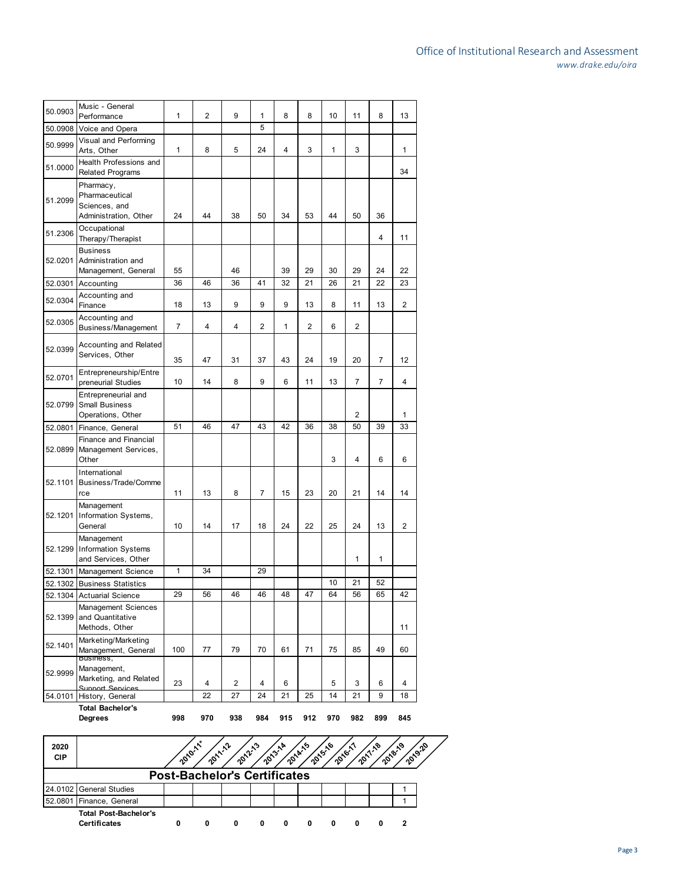|         | <b>Total Bachelor's</b><br>Degrees                                    | 998          | 970 | 938 | 984 | 915 | 912            | 970 | 982            | 899            | 845 |
|---------|-----------------------------------------------------------------------|--------------|-----|-----|-----|-----|----------------|-----|----------------|----------------|-----|
| 54.0101 | Support Sensices<br>History, General                                  |              | 22  | 27  | 24  | 21  | 25             | 14  | 21             | 9              | 18  |
| 52.9999 | Business,<br>Management,<br>Marketing, and Related                    | 23           | 4   | 2   | 4   | 6   |                | 5   | 3              | 6              | 4   |
| 52.1401 | Marketing/Marketing<br>Management, General                            | 100          | 77  | 79  | 70  | 61  | 71             | 75  | 85             | 49             | 60  |
| 52.1399 | <b>Management Sciences</b><br>and Quantitative<br>Methods, Other      |              |     |     |     |     |                |     |                |                | 11  |
|         | 52.1304 Actuarial Science                                             | 29           | 56  | 46  | 46  | 48  | 47             | 64  | 56             | 65             | 42  |
| 52.1302 | <b>Business Statistics</b>                                            |              |     |     |     |     |                | 10  | 21             | 52             |     |
| 52.1301 | Management Science                                                    | $\mathbf{1}$ | 34  |     | 29  |     |                |     |                |                |     |
| 52.1299 | Management<br><b>Information Systems</b><br>and Services, Other       |              |     |     |     |     |                |     | $\mathbf{1}$   | 1              |     |
| 52.1201 | Management<br>Information Systems,<br>General                         | 10           | 14  | 17  | 18  | 24  | 22             | 25  | 24             | 13             | 2   |
| 52.1101 | International<br>Business/Trade/Comme<br>rce                          | 11           | 13  | 8   | 7   | 15  | 23             | 20  | 21             | 14             | 14  |
| 52.0899 | Finance and Financial<br>Management Services,<br>Other                |              |     |     |     |     |                | 3   | 4              | 6              | 6   |
| 52.0801 | Finance, General                                                      | 51           | 46  | 47  | 43  | 42  | 36             | 38  | 50             | 39             | 33  |
| 52.0799 | Entrepreneurial and<br><b>Small Business</b><br>Operations, Other     |              |     |     |     |     |                |     | 2              |                | 1   |
| 52.0701 | Entrepreneurship/Entre<br>preneurial Studies                          | 10           | 14  | 8   | 9   | 6   | 11             | 13  | 7              | 7              | 4   |
| 52.0399 | <b>Accounting and Related</b><br>Services, Other                      | 35           | 47  | 31  | 37  | 43  | 24             | 19  | 20             | $\overline{7}$ | 12  |
| 52.0305 | Accounting and<br>Business/Management                                 | 7            | 4   | 4   | 2   | 1   | $\overline{2}$ | 6   | $\overline{2}$ |                |     |
| 52.0304 | Accounting and<br>Finance                                             | 18           | 13  | 9   | 9   | 9   | 13             | 8   | 11             | 13             | 2   |
| 52.0301 | Accounting                                                            | 36           | 46  | 36  | 41  | 32  | 21             | 26  | 21             | 22             | 23  |
| 52.0201 | <b>Business</b><br>Administration and<br>Management, General          | 55           |     | 46  |     | 39  | 29             | 30  | 29             | 24             | 22  |
| 51.2306 | Occupational<br>Therapy/Therapist                                     |              |     |     |     |     |                |     |                | 4              | 11  |
| 51.2099 | Pharmacy,<br>Pharmaceutical<br>Sciences, and<br>Administration, Other | 24           | 44  | 38  | 50  | 34  | 53             | 44  | 50             | 36             |     |
| 51.0000 | Health Professions and<br><b>Related Programs</b>                     |              |     |     |     |     |                |     |                |                | 34  |
| 50.9999 | Visual and Performing<br>Arts, Other                                  | $\mathbf{1}$ | 8   | 5   | 24  | 4   | 3              | 1   | 3              |                | 1   |
| 50.0908 | Voice and Opera                                                       |              |     |     | 5   |     |                |     |                |                |     |
| 50.0903 | Music - General<br>Performance                                        | $\mathbf{1}$ | 2   | 9   | 1   | 8   | 8              | 10  | 11             | 8              | 13  |

| 2020<br><b>CIP</b> |                                                     | 2010-11 | <b>2011-12</b>                      | 2012 | ৲৽ | 2013-14<br>2014-15 | 2015-16 | 2016-1 | ৲ზ<br>2018-19 | 2019-20 |  |
|--------------------|-----------------------------------------------------|---------|-------------------------------------|------|----|--------------------|---------|--------|---------------|---------|--|
|                    |                                                     |         | <b>Post-Bachelor's Certificates</b> |      |    |                    |         |        |               |         |  |
|                    | 24.0102 General Studies                             |         |                                     |      |    |                    |         |        |               |         |  |
|                    | 52.0801 Finance, General                            |         |                                     |      |    |                    |         |        |               |         |  |
|                    | <b>Total Post-Bachelor's</b><br><b>Certificates</b> | 0       | 0                                   | 0    | 0  | 0                  |         |        |               |         |  |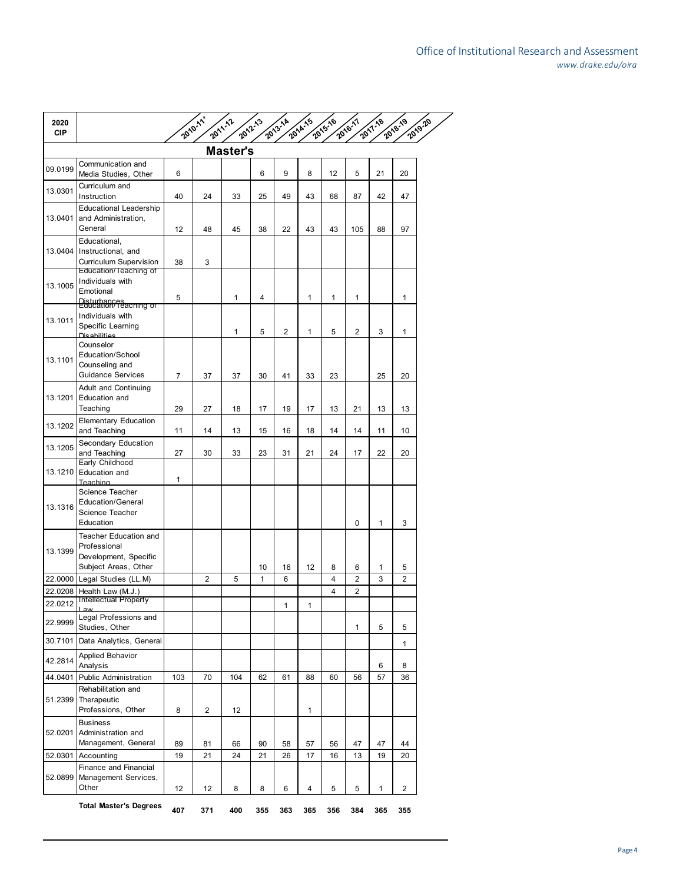| 2020<br><b>CIP</b> |                                                                                                 |     | 2010-11        | 2011-12         | 2012-13 | 2013-14        | 2014-15 | 2015-16 | 2016-17        | 2017.18 | 2018-19        | 2019.20 |
|--------------------|-------------------------------------------------------------------------------------------------|-----|----------------|-----------------|---------|----------------|---------|---------|----------------|---------|----------------|---------|
|                    |                                                                                                 |     |                | <b>Master's</b> |         |                |         |         |                |         |                |         |
| 09.0199            | Communication and<br>Media Studies, Other                                                       | 6   |                |                 | 6       | 9              | 8       | 12      | 5              | 21      | 20             |         |
| 13.0301            | Curriculum and<br>Instruction                                                                   | 40  | 24             | 33              | 25      | 49             | 43      | 68      | 87             | 42      | 47             |         |
| 13.0401            | <b>Educational Leadership</b><br>and Administration,<br>General                                 | 12  | 48             | 45              | 38      | 22             | 43      | 43      | 105            | 88      | 97             |         |
|                    | Educational,<br>13.0404 Instructional, and<br>Curriculum Supervision                            | 38  | 3              |                 |         |                |         |         |                |         |                |         |
| 13.1005            | Education/Teaching of<br>Individuals with<br>Emotional<br>Disturbances<br>Education/Teaching of | 5   |                | 1               | 4       |                | 1       | 1       | 1              |         | 1              |         |
| 13.1011            | Individuals with<br>Specific Learning<br><b>Die abilities</b>                                   |     |                | 1               | 5       | $\overline{2}$ | 1       | 5       | $\overline{2}$ | 3       | 1              |         |
| 13.1101            | Counselor<br>Education/School<br>Counseling and<br><b>Guidance Services</b>                     | 7   | 37             | 37              | 30      | 41             | 33      | 23      |                | 25      | 20             |         |
| 13.1201            | Adult and Continuing<br>Education and<br>Teaching                                               | 29  | 27             | 18              | 17      | 19             | 17      | 13      | 21             | 13      | 13             |         |
| 13.1202            | <b>Elementary Education</b><br>and Teaching                                                     | 11  | 14             | 13              | 15      | 16             | 18      | 14      | 14             | 11      | 10             |         |
| 13.1205            | Secondary Education<br>and Teaching                                                             | 27  | 30             | 33              | 23      | 31             | 21      | 24      | 17             | 22      | 20             |         |
| 13.1210            | Early Childhood<br>Education and<br>Teaching                                                    | 1   |                |                 |         |                |         |         |                |         |                |         |
| 13.1316            | Science Teacher<br><b>Education/General</b><br>Science Teacher<br>Education                     |     |                |                 |         |                |         |         | $\mathbf 0$    | 1       | 3              |         |
| 13.1399            | Teacher Education and<br>Professional<br>Development, Specific<br>Subject Areas, Other          |     |                |                 | 10      | 16             | 12      | 8       | 6              | 1       | 5              |         |
|                    | 22.0000 Legal Studies (LL.M)                                                                    |     | $\overline{2}$ | 5               | 1       | 6              |         | 4       | 2              | 3       | $\overline{2}$ |         |
| 22.0208            | Health Law (M.J.)<br><b>Intellectual Property</b>                                               |     |                |                 |         |                |         | 4       | 2              |         |                |         |
| 22.0212            |                                                                                                 |     |                |                 |         | 1              | 1       |         |                |         |                |         |
| 22.9999            | Legal Professions and<br>Studies, Other                                                         |     |                |                 |         |                |         |         | 1              | 5       | 5              |         |
| 30.7101            | Data Analytics, General                                                                         |     |                |                 |         |                |         |         |                |         | 1              |         |
| 42.2814            | Applied Behavior<br>Analysis                                                                    |     |                |                 |         |                |         |         |                | 6       | 8              |         |
| 44.0401            | <b>Public Administration</b>                                                                    | 103 | 70             | 104             | 62      | 61             | 88      | 60      | 56             | 57      | 36             |         |
| 51.2399            | Rehabilitation and<br>Therapeutic<br>Professions, Other                                         | 8   | 2              | 12              |         |                | 1       |         |                |         |                |         |
| 52.0201            | <b>Business</b><br>Administration and<br>Management, General                                    | 89  | 81             | 66              | 90      | 58             | 57      | 56      | 47             | 47      | 44             |         |
| 52.0301            | Accounting                                                                                      | 19  | 21             | 24              | 21      | 26             | 17      | 16      | 13             | 19      | 20             |         |
| 52.0899            | Finance and Financial<br>Management Services,<br>Other                                          | 12  | 12             | 8               | 8       | 6              | 4       | 5       | 5              | 1       | $\overline{2}$ |         |
|                    | <b>Total Master's Degrees</b>                                                                   | 407 | 371            | 400             | 355     | 363            | 365     | 356     | 384            | 365     | 355            |         |